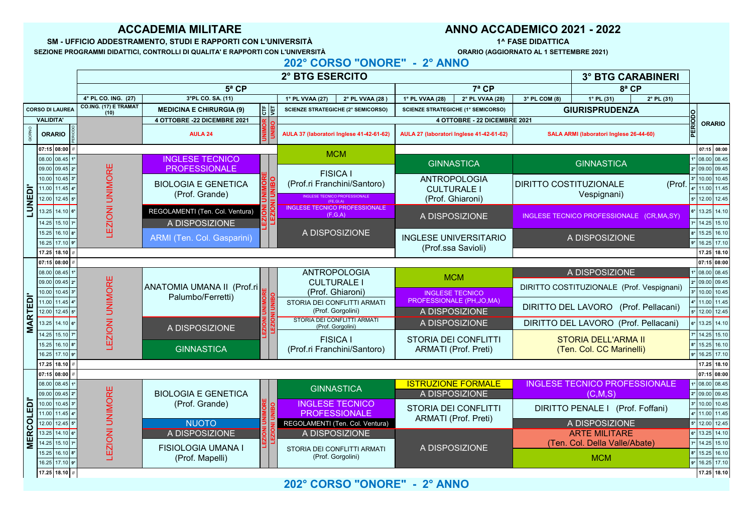| 08.00 08.45 1°                | <b>INGLESE TECNICO</b>          |               | <b>IVIUIVI</b>              |                              |                                          |          |  | $1°$ 08.00 08.45      |
|-------------------------------|---------------------------------|---------------|-----------------------------|------------------------------|------------------------------------------|----------|--|-----------------------|
| 09.00 09.45 2°                | <b>PROFESSIONALE</b>            |               | <b>FISICA I</b>             | <b>GINNASTICA</b>            | <b>GINNASTICA</b>                        |          |  | 2° 09.00 09.45        |
| $10.00$   10.45   $3^{\circ}$ | <b>BIOLOGIA E GENETICA</b>      | $\frac{1}{2}$ | (Prof.ri Franchini/Santoro) | ANTROPOLOGIA                 | <b>IDIRITTO COSTITUZIONALE</b>           |          |  | 3°   10.00   10.45    |
| $11.00$   11.45   4°          |                                 |               |                             | <b>CULTURALE I</b>           |                                          | (Prof. ) |  | 11.00 11.45           |
| $12.00$   12.45   5°          | (Prof. Grande)                  |               | (FE.GI.A)                   | (Prof. Ghiaroni)             | Vespignani)                              |          |  | $ 5° $ 12.00   12.45  |
| $13.25$   14.10   6°          | REGOLAMENTI (Ten. Col. Ventura) |               | (F,G,A)                     | A DISPOSIZIONE               | INGLESE TECNICO PROFESSIONALE (CR,MA,SY) |          |  | $6°$ 13.25 14.10      |
| $14.25$   15.10   7°          | A DISPOSIZIONE                  |               |                             |                              |                                          |          |  | <b>7° 14.25 15.10</b> |
| $15.25$   16.10   8°          | ARMI (Ten. Col. Gasparini)      |               | A DISPOSIZIONE              | <b>INGLESE UNIVERSITARIO</b> | A DISPOSIZIONE                           |          |  | 8°   15.25   16.10    |
| $16.25$   17.10   9°          |                                 |               |                             | (Prof.ssa Savioli)           |                                          |          |  | 9°   16.25   17.10    |
| $1725$ $10.40$ $1$            |                                 |               |                             |                              |                                          |          |  | $1725$ $1040$         |

| U J J J J J J J J J J J       |                                                 |  |                                                  |                             |                                             |  | 07. IV   00.00            |
|-------------------------------|-------------------------------------------------|--|--------------------------------------------------|-----------------------------|---------------------------------------------|--|---------------------------|
| 08.00 08.45 1°                |                                                 |  | ANTROPOLOGIA                                     | <b>MCM</b>                  | A DISPOSIZIONE                              |  | $1°$ 08.00 08.45          |
| 09.00 09.45 2°                |                                                 |  | <b>CULTURALE I</b>                               |                             | DIRITTO COSTITUZIONALE (Prof. Vespignani)   |  | 2° 09.00 09.45            |
| $10.00$   10.45   $3^{\circ}$ | ANATOMIA UMANA II (Prof.ri<br>Palumbo/Ferretti) |  | (Prof. Ghiaroni)                                 | <b>INGLESE TECNICO</b>      |                                             |  | $3°$ 10.00 10.45          |
| $11.00$   11.45   4°          |                                                 |  | STORIA DEI CONFLITTI ARMATI                      | PROFESSIONALE (PH, JO, MA)  | DIRITTO DEL LAVORO (Prof. Pellacani)        |  | $4°$ 11.00 11.45          |
| $12.00$   12.45   5°          |                                                 |  | (Prof. Gorgolini)                                | A DISPOSIZIONE              |                                             |  | $\frac{1}{5}$ 12.00 12.45 |
| $13.25$   14.10   6°          | A DISPOSIZIONE                                  |  | STORIA DEI CONFLITTI ARMATI<br>(Prof. Gorgolini) | A DISPOSIZIONE              | <b>DIRITTO DEL LAVORO (Prof. Pellacani)</b> |  | $ 6° $ 13.25   14.10      |
| $14.25$   15.10   7°          |                                                 |  | <b>FISICA I</b>                                  | STORIA DEI CONFLITTI        | <b>STORIA DELL'ARMA II</b>                  |  | $7°$ 14.25 15.10          |
| $15.25$   16.10   8°          | <b>GINNASTICA</b>                               |  | (Prof.ri Franchini/Santoro)                      | <b>ARMATI (Prof. Preti)</b> | (Ten. Col. CC Marinelli)                    |  | $ 8° $ 15.25 16.10        |
| $16.25$   17.10   9°          |                                                 |  |                                                  |                             |                                             |  | $9°$ 16.25 17.10          |
|                               |                                                 |  |                                                  |                             |                                             |  |                           |



|                                                  |                  |                                                                                | <b>2° BTG ESERCITO</b><br><b>3° BTG CARABINERI</b> |                                                   |                   |                                                                                            |                                                                        |                                                     |                                           |                                                  |                                    |                                                            |
|--------------------------------------------------|------------------|--------------------------------------------------------------------------------|----------------------------------------------------|---------------------------------------------------|-------------------|--------------------------------------------------------------------------------------------|------------------------------------------------------------------------|-----------------------------------------------------|-------------------------------------------|--------------------------------------------------|------------------------------------|------------------------------------------------------------|
|                                                  |                  |                                                                                |                                                    | $5^a$ CP                                          |                   |                                                                                            | $7^a$ CP<br>$8^a$ CP                                                   |                                                     |                                           |                                                  |                                    |                                                            |
|                                                  |                  |                                                                                | 4° PL CO. ING. (27)                                | 3°PL CO. SA. (11)                                 |                   | $2^{\circ}$ PL VVAA (28)<br>1° PL VVAA (27)                                                | 1° PL VVAA (28)                                                        | 2° PL VVAA (28)                                     | $3^{\circ}$ PL COM (8)                    | $1^{\circ}$ PL (31)                              | $2^{\circ}$ PL $(31)$              |                                                            |
|                                                  |                  | <b>CORSO DI LAUREA</b>                                                         | <b>CO.ING. (17) E TRAMAT</b>                       | $\frac{1}{10}$<br><b>MEDICINA E CHIRURGIA (9)</b> |                   | <b>SCIENZE STRATEGICHE (2° SEMICORSO)</b>                                                  |                                                                        | <b>SCIENZE STRATEGICHE (1° SEMICORSO)</b>           |                                           | <b>GIURISPRUDENZA</b>                            |                                    |                                                            |
|                                                  | <b>VALIDITA'</b> |                                                                                |                                                    | <b>4 OTTOBRE -22 DICEMBRE 2021</b>                |                   |                                                                                            |                                                                        | 4 OTTOBRE - 22 DICEMBRE 2021                        |                                           |                                                  |                                    | <b>ORARIO</b>                                              |
|                                                  | <b>ORARIO</b>    |                                                                                |                                                    | <b>AULA 24</b>                                    |                   | AULA 37 (laboratori Inglese 41-42-61-62)                                                   |                                                                        | AULA 27 (laboratori Inglese 41-42-61-62)            |                                           | <b>SALA ARMI (laboratori Inglese 26-44-60)</b>   |                                    |                                                            |
|                                                  |                  | $\vert$ 07:15 $\vert$ 08:00 $\vert$ //                                         |                                                    |                                                   |                   | <b>MCM</b>                                                                                 |                                                                        |                                                     |                                           |                                                  |                                    | $\vert$ 07:15 $\vert$ 08:00                                |
|                                                  |                  | $08.00   08.45   1^\circ  $<br>$09.00   09.45   2^\circ $                      | $\frac{\mathsf{I}\mathsf{I}}{\mathsf{I}}$          | <b>INGLESE TECNICO</b><br>PROFESSIONALE           |                   | <b>FISICA I</b>                                                                            |                                                                        | <b>GINNASTICA</b>                                   |                                           | <b>GINNASTICA</b>                                |                                    | $1°$ 08.00 08.45<br> 2° 09.00 09.45                        |
| $\overline{\overline{\overline{\overline{D}}} }$ |                  | $10.00   10.45   3^\circ  $<br>$11.00$   11.45   4°                            |                                                    | <b>BIOLOGIA E GENETICA</b>                        | <b>IDR</b><br>IBO | (Prof.ri Franchini/Santoro)                                                                | <b>CULTURALE I</b>                                                     | ANTROPOLOGIA                                        | <b>DIRITTO COSTITUZIONALE</b>             |                                                  | (Prof.                             | $3°$ 10.00 10.45<br>.°   11.00   11.45                     |
| 빚                                                |                  | $12.00$   12.45   5°                                                           |                                                    | (Prof. Grande)                                    |                   | INGLESE TECNICO PROFESSIONALE<br>(FE.GI.A)                                                 |                                                                        | (Prof. Ghiaroni)                                    |                                           | Vespignani)                                      |                                    | $ 5° $ 12.00   12.45                                       |
|                                                  |                  | $\sum$ 13.25 14.10 6°<br>$14.25$ 15.10 $7°$                                    |                                                    | REGOLAMENTI (Ten. Col. Ventura)<br>A DISPOSIZIONE |                   | (F,G,A)                                                                                    |                                                                        | A DISPOSIZIONE                                      |                                           | INGLESE TECNICO PROFESSIONALE (CR,MA,SY)         |                                    | $6°$ 13.25 14.10<br>$\vert$ 14.25 15.10                    |
|                                                  |                  | $15.25$   16.10   8°  <br>16.25 17.10 9°                                       |                                                    | ARMI (Ten. Col. Gasparini)                        |                   | A DISPOSIZIONE                                                                             |                                                                        | <b>INGLESE UNIVERSITARIO</b>                        |                                           | A DISPOSIZIONE                                   |                                    | $15.25$ 16.10<br>$\vert$ 16.25 17.10                       |
|                                                  |                  | $17.25$ 18.10 $\mid$ //                                                        |                                                    |                                                   |                   |                                                                                            |                                                                        | (Prof.ssa Savioli)                                  |                                           |                                                  |                                    | 17.25 18.10                                                |
|                                                  |                  | $ 07:15 08:00 $ //                                                             |                                                    |                                                   |                   |                                                                                            |                                                                        |                                                     |                                           |                                                  |                                    | 07:15 08:00                                                |
|                                                  |                  | $08.00   08.45   1^\circ  $                                                    |                                                    |                                                   |                   | ANTROPOLOGIA                                                                               |                                                                        | <b>MCM</b>                                          |                                           | A DISPOSIZIONE                                   |                                    | $1°$ 08.00 08.45                                           |
|                                                  |                  | $\vert 09.00 \vert 09.45 \vert 2^{\circ} \vert$<br>$110.00$   10.45   3°       | ш                                                  | ANATOMIA UMANA II (Prof.ri<br>Palumbo/Ferretti)   | <b>IIMORE</b>     | <b>CULTURALE I</b><br>(Prof. Ghiaroni)<br>STORIA DEI CONFLITTI ARMATI<br>(Prof. Gorgolini) | <b>INGLESE TECNICO</b><br>PROFESSIONALE (PH, JO, MA)<br>A DISPOSIZIONE |                                                     | DIRITTO COSTITUZIONALE (Prof. Vespignani) |                                                  | 2° 09.00 09.45<br>$3°$ 10.00 10.45 |                                                            |
| EDI'<br>$\overline{\mathbf{r}}$                  |                  | $11.00$   11.45   4°  <br>$12.00$ 12.45   5°                                   |                                                    |                                                   |                   |                                                                                            |                                                                        | DIRITTO DEL LAVORO                                  |                                           | (Prof. Pellacani)                                |                                    |                                                            |
|                                                  |                  | $13.25$   14.10   6°                                                           |                                                    | A DISPOSIZIONE                                    |                   | STORIA DEI CONFLITTI ARMATI<br>(Prof. Gorgolini)                                           |                                                                        | A DISPOSIZIONE                                      |                                           | <b>DIRITTO DEL LAVORO (Prof. Pellacani)</b>      |                                    | $6°$ 13.25 14.10                                           |
|                                                  |                  | $14.25$   15.10   7°  <br>$15.25$   16.10   8°  <br>$16.25$ 17.10 $ 9° $       |                                                    | <b>GINNASTICA</b>                                 |                   | <b>FISICA I</b><br>(Prof.ri Franchini/Santoro)                                             |                                                                        | STORIA DEI CONFLITTI<br><b>ARMATI (Prof. Preti)</b> |                                           | STORIA DELL'ARMA II<br>(Ten. Col. CC Marinelli)  |                                    | 7° 14.25 15.10<br>8°   15.25   16.10<br>9°   16.25   17.10 |
|                                                  |                  | $\vert$ 17.25   18.10   //                                                     |                                                    |                                                   |                   |                                                                                            |                                                                        |                                                     |                                           |                                                  |                                    | 17.25 18.10                                                |
|                                                  |                  | $ 07:15 08:00 $ //                                                             |                                                    |                                                   |                   |                                                                                            |                                                                        |                                                     |                                           |                                                  |                                    | 07:15 08:00                                                |
|                                                  |                  | $08.00   08.45   1^\circ  $<br>$\vert 09.00 \vert 09.45 \vert 2^{\circ} \vert$ |                                                    | <b>BIOLOGIA E GENETICA</b>                        |                   | <b>GINNASTICA</b>                                                                          | <b>ISTRUZIONE FORMALE</b>                                              | A DISPOSIZIONE                                      |                                           | <b>NGLESE TECNICO PROFESSIONALE</b><br>(C, M, S) |                                    | $1°$ 08.00 08.45<br>2°   09.00   09.45                     |
| $\overline{\mathsf{D}}$<br>Ш                     |                  | $10.00$   10.45   3°<br>$11.00$   11.45   4°                                   |                                                    | (Prof. Grande)                                    |                   | <b>INGLESE TECNICO</b><br><b>PROFESSIONALE</b>                                             | STORIA DEI CONFLITTI                                                   |                                                     | <b>DIRITTO PENALE I</b>                   |                                                  | (Prof. Foffani)                    | $3°$ 10.00 10.45<br>$ 4° $ 11.00   11.45                   |
| <b>OO</b><br>$\alpha$                            |                  | $12.00$   12.45   5°<br>$13.25$ 14.10 6°                                       |                                                    | <b>NUOTO</b><br>A DISPOSIZIONE                    |                   | REGOLAMENTI (Ten. Col. Ventura)<br>A DISPOSIZIONE                                          | <b>ARMATI (Prof. Preti)</b>                                            |                                                     |                                           | A DISPOSIZIONE<br><b>ARTE MILITARE</b>           |                                    | 12.00 12.45<br>$6°$ 13.25 14.10                            |
|                                                  |                  | $14.25$ 15.10 $7°$<br>$15.25$   16.10   8°                                     |                                                    | <b>FISIOLOGIA UMANA I</b>                         |                   | STORIA DEI CONFLITTI ARMATI<br>(Prof. Gorgolini)                                           |                                                                        | A DISPOSIZIONE                                      |                                           | (Ten. Col. Della Valle/Abate)                    |                                    | $7°$ 14.25 15.10<br>8°   15.25   16.10                     |
|                                                  |                  | $16.25$   17.10   9°  <br>$\mid$ 17.25   18.10   //                            |                                                    | (Prof. Mapelli)                                   |                   |                                                                                            |                                                                        |                                                     |                                           | <b>MCM</b>                                       |                                    | 9°   16.25   17.10<br>  17.25   18.10                      |
|                                                  |                  |                                                                                |                                                    |                                                   |                   | AAAA AARAA IIANIAREII                                                                      | <b>OO ANIMA</b>                                                        |                                                     |                                           |                                                  |                                    |                                                            |

| 07:15 08:00  //               |                            |                                                  |                             |                                      |                  | 07:15 08:00      |
|-------------------------------|----------------------------|--------------------------------------------------|-----------------------------|--------------------------------------|------------------|------------------|
| $08.00   08.45   1^\circ  $   |                            | <b>GINNASTICA</b>                                | <b>ISTRUZIONE FORMALE</b>   | <b>INGLESE TECNICO PROFESSIONALE</b> | $1°$ 08.00 08.45 |                  |
| 09.00 09.45 2°                | <b>BIOLOGIA E GENETICA</b> |                                                  | A DISPOSIZIONE              | (C, M, S)                            |                  | $2°$ 09.00 09.45 |
| $10.00$   10.45   $3^{\circ}$ | (Prof. Grande)             | <b>INGLESE TECNICO</b>                           | STORIA DEI CONFLITTI        | DIRITTO PENALE   (Prof. Foffani)     | $3°$ 10.00 10.45 |                  |
| $11.00$   11.45   4°          |                            | PROFESSIONALE                                    | <b>ARMATI (Prof. Preti)</b> |                                      | $4°$ 11.00 11.45 |                  |
| $12.00$   12.45   $5^{\circ}$ | <b>NUOTO</b>               | REGOLAMENTI (Ten. Col. Ventura)                  |                             | A DISPOSIZIONE                       | $5°$ 12.00 12.45 |                  |
| $13.25$ 14.10 6°              | A DISPOSIZIONE             | A DISPOSIZIONE                                   |                             | <b>ARTE MILITARE</b>                 | $6°$ 13.25 14.10 |                  |
| $14.25$   15.10   $7^{\circ}$ | <b>FISIOLOGIA UMANA I</b>  |                                                  | A DISPOSIZIONE              | (Ten. Col. Della Valle/Abate)        | 7° 14.25 15.10   |                  |
| $15.25$   16.10   8°          | (Prof. Mapelli)            | STORIA DEI CONFLITTI ARMATI<br>(Prof. Gorgolini) |                             | <b>MCM</b>                           | $8°$ 15.25 16.10 |                  |
| $16.25$   17.10   9°          |                            |                                                  |                             |                                      |                  | $9°$ 16.25 17.10 |
|                               |                            |                                                  |                             |                                      |                  |                  |

**202° CORSO "ONORE" - 2° ANNO**

|                        |                                 |                                    |                 | <b>2° BTG ESERCITO</b> |                                           |                                           |                                          |                          | <b>3° BTG CARABINERI</b>                       |                     |  |
|------------------------|---------------------------------|------------------------------------|-----------------|------------------------|-------------------------------------------|-------------------------------------------|------------------------------------------|--------------------------|------------------------------------------------|---------------------|--|
|                        |                                 | 8 <sup>a</sup> CP                  |                 |                        |                                           |                                           |                                          |                          |                                                |                     |  |
|                        | 4° PL CO. ING. (27)             | 3°PL CO. SA. (11)                  |                 | $1^\circ$ PL VVAA (27) | $2^\circ$ PL VVAA (28 )                   | $1^\circ$ PL VVAA (28)                    | 2° PL VVAA (28)                          | $3^{\circ}$ PL COM $(8)$ | $1^{\circ}$ PL (31)                            | $2^{\circ}$ PL (31) |  |
| <b>CORSO DI LAUREA</b> | CO.ING. (17) E TRAMAT  <br>(10) | <b>MEDICINA E CHIRURGIA (9)</b>    | $\frac{1}{212}$ |                        | <b>SCIENZE STRATEGICHE (2° SEMICORSO)</b> | <b>SCIENZE STRATEGICHE (1° SEMICORSO)</b> |                                          |                          | <b>GIURISPRUDENZA</b>                          |                     |  |
| <b>VALIDITA'</b>       |                                 | <b>4 OTTOBRE -22 DICEMBRE 2021</b> |                 |                        |                                           |                                           | 4 OTTOBRE - 22 DICEMBRE 2021             |                          |                                                |                     |  |
| <b>ORARIO</b>          |                                 | <b>AULA 24</b>                     |                 |                        | AULA 37 (laboratori Inglese 41-42-61-62)  |                                           | AULA 27 (laboratori Inglese 41-42-61-62) |                          | <b>SALA ARMI (laboratori Inglese 26-44-60)</b> |                     |  |

| <b>RABINERI</b>   |                |               |               |
|-------------------|----------------|---------------|---------------|
| $\mathbf{P}$      |                |               |               |
| $2°$ PL $(31)$    |                |               |               |
|                   |                |               |               |
|                   |                |               |               |
|                   | PERIODO        | <b>ORARIO</b> |               |
| 26-44-60)         |                |               |               |
|                   |                | 07:15         | 08:00         |
|                   | $1^{\circ}$    | 08.00         | 08.45         |
|                   | $2^{\circ}$    | 09.00         | 09.45         |
|                   | 3 <sup>°</sup> | 10.00         | 10.45         |
| (Prof.            | $4^\circ$      | 11.00         | 11.45         |
|                   | $5^\circ$      | 12.00         | 12.45         |
| (CR, MA, SY)<br>E | $6^{\circ}$    | 13.25         | 14.10         |
|                   | $7^\circ$      | 14.25         | 15.10         |
|                   | $8^{\circ}$    | 15.25         | 16.10         |
|                   | $9^\circ$      | 16.25         | 17.10         |
|                   |                | 17.25         | 18.10         |
|                   |                | 07:15         | 08:00         |
|                   | $1^{\circ}$    |               | 08.00 08.45   |
| of. Vespignani)   | $2^{\circ}$    | 09.00         | 09.45         |
|                   | $3^\circ$      | 10.00         | 10.45         |
| of. Pellacani)    | $4^\circ$      |               | 11.00 11.45   |
|                   | $5^\circ$      | 12.00         | 12.45         |
| of. Pellacani)    | $6^{\circ}$    | $13.25$ 14.10 |               |
| A II              | $7^\circ$      | 14.25 15.10   |               |
| elli)             | $8^{\circ}$    |               | 15.25 16.10   |
|                   | $9^\circ$      |               | 16.25   17.10 |
|                   |                | 17.25         | 18.10         |
|                   |                | 07:15         | 08:00         |
| <b>ESSIONALE</b>  | $1^{\circ}$    | 08.00         | 08.45         |
|                   | $2^{\circ}$    | 09.00         | 09.45         |
| f. Foffani)       | $3^\circ$      | 10.00         | 10.45         |
|                   | $4^\circ$      |               | 11.00   11.45 |
|                   | $5^{\circ}$    |               | 12.00   12.45 |
|                   | $6^{\circ}$    | 13.25         | 14.10         |
| Abate)            | $7^\circ$      | 14.25 15.10   |               |
|                   | $8^{\circ}$    |               | 15.25   16.10 |
|                   | $9^\circ$      |               | 16.25   17.10 |
|                   |                | 17.25         | 18.10         |

# **ACCADEMIA MILITARE ANNO ACCADEMICO 2021 - 2022**

## **SM - UFFICIO ADDESTRAMENTO, STUDI E RAPPORTI CON L'UNIVERSITÀ SEZIONE PROGRAMMI DIDATTICI, CONTROLLI DI QUALITA' E RAPPORTI CON L'UNIVERSITÀ**

**1^ FASE DIDATTICA**

**ORARIO (AGGIORNATO AL 1 SETTEMBRE 2021)**

## **202° CORSO "ONORE" - 2° ANNO**